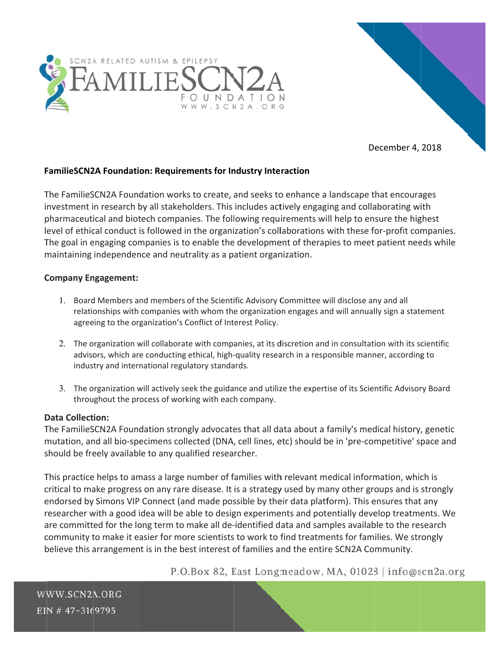



December 4, 2018

# **FamilieSCN2A Foundation: Requirements for Industry Interaction**

The FamilieSCN2A Foundation works to create, and seeks to enhance a landscape that encourages investment in research by all stakeholders. This includes actively engaging and collaborating with pharmaceutical and biotech companies. The following requirements will help to ensure the highest level of ethical conduct is followed in the organization's collaborations with these for-profit companies. The goal in engaging companies is to enable the development of therapies to meet patient needs while maintaining independence and neutrality as a patient organization.

# **Company Engagement:**

- 1. Board Members and members of the Scientific Advisory Committee will disclose any and all relationships with companies with whom the organization engages and will annually sign a statement agreeing to the organization's Conflict of Interest Policy.
- 2. The organization will collaborate with companies, at its discretion and in consultation with its scientific advisors, which are conducting ethical, high-quality research in a responsible manner, according to industry and international regulatory standards.
- 3. The organization will actively seek the guidance and utilize the expertise of its Scientific Advisory Board throughout the process of working with each company.

# **Data Collection:**

The FamilieSCN2A Foundation strongly advocates that all data about a family's medical history, genetic mutation, and all bio-specimens collected (DNA, cell lines, etc) should be in 'pre-competitive' space and should be freely available to any qualified researcher.

This practice helps to amass a large number of families with relevant medical information, which is critical to make progress on any rare disease. It is a strategy used by many other groups and is strongly endorsed by Simons VIP Connect (and made possible by their data platform). This ensures that any researcher with a good idea will be able to design experiments and potentially develop treatments. We are committed for the long term to make all de-identified data and samples available to the research community to make it easier for more scientists to work to find treatments for families. We strongly believe this arrangement is in the best interest of families and the entire SCN2A Community.

P.O.Box 82, East Longmeadow, MA, 01028 | info@scn2a.org